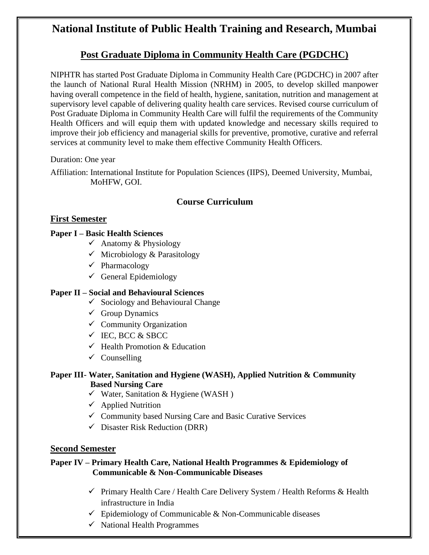# **National Institute of Public Health Training and Research, Mumbai**

# **Post Graduate Diploma in Community Health Care (PGDCHC)**

NIPHTR has started Post Graduate Diploma in Community Health Care (PGDCHC) in 2007 after the launch of National Rural Health Mission (NRHM) in 2005, to develop skilled manpower having overall competence in the field of health, hygiene, sanitation, nutrition and management at supervisory level capable of delivering quality health care services. Revised course curriculum of Post Graduate Diploma in Community Health Care will fulfil the requirements of the Community Health Officers and will equip them with updated knowledge and necessary skills required to improve their job efficiency and managerial skills for preventive, promotive, curative and referral services at community level to make them effective Community Health Officers.

#### Duration: One year

Affiliation: International Institute for Population Sciences (IIPS), Deemed University, Mumbai, MoHFW, GOI.

# **Course Curriculum**

# **First Semester**

#### **Paper I – Basic Health Sciences**

- $\checkmark$  Anatomy & Physiology
- $\checkmark$  Microbiology & Parasitology
- ✓ Pharmacology
- $\checkmark$  General Epidemiology

# **Paper II – Social and Behavioural Sciences**

- $\checkmark$  Sociology and Behavioural Change
- $\checkmark$  Group Dynamics
- $\checkmark$  Community Organization
- $\checkmark$  IEC, BCC & SBCC
- $\checkmark$  Health Promotion & Education
- $\checkmark$  Counselling

# **Paper III- Water, Sanitation and Hygiene (WASH), Applied Nutrition & Community Based Nursing Care**

- $\checkmark$  Water, Sanitation & Hygiene (WASH)
- $\checkmark$  Applied Nutrition
- ✓ Community based Nursing Care and Basic Curative Services
- $\checkmark$  Disaster Risk Reduction (DRR)

#### **Second Semester**

#### **Paper IV – Primary Health Care, National Health Programmes & Epidemiology of Communicable & Non-Communicable Diseases**

- ✓ Primary Health Care / Health Care Delivery System / Health Reforms & Health infrastructure in India
- $\checkmark$  Epidemiology of Communicable & Non-Communicable diseases
- ✓ National Health Programmes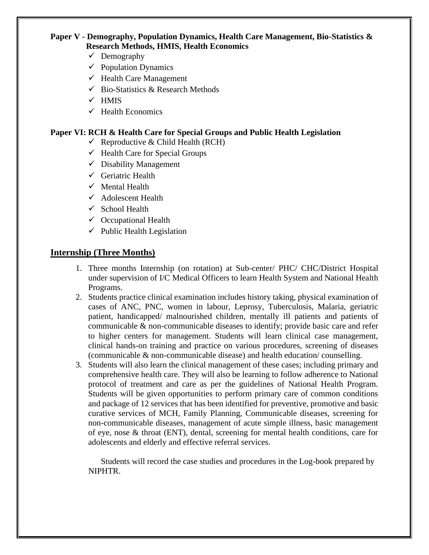# **Paper V - Demography, Population Dynamics, Health Care Management, Bio-Statistics & Research Methods, HMIS, Health Economics**

- ✓ Demography
- $\checkmark$  Population Dynamics
- $\checkmark$  Health Care Management
- $\checkmark$  Bio-Statistics & Research Methods
- $\times$  HMIS
- $\checkmark$  Health Economics

#### **Paper VI: RCH & Health Care for Special Groups and Public Health Legislation**

- $\checkmark$  Reproductive & Child Health (RCH)
- $\checkmark$  Health Care for Special Groups
- $\checkmark$  Disability Management
- $\checkmark$  Geriatric Health
- $\checkmark$  Mental Health
- $\checkmark$  Adolescent Health
- $\checkmark$  School Health
- $\checkmark$  Occupational Health
- $\checkmark$  Public Health Legislation

#### **Internship (Three Months)**

- 1. Three months Internship (on rotation) at Sub-center/ PHC/ CHC/District Hospital under supervision of I/C Medical Officers to learn Health System and National Health Programs.
- 2. Students practice clinical examination includes history taking, physical examination of cases of ANC, PNC, women in labour, Leprosy, Tuberculosis, Malaria, geriatric patient, handicapped/ malnourished children, mentally ill patients and patients of communicable & non-communicable diseases to identify; provide basic care and refer to higher centers for management. Students will learn clinical case management, clinical hands-on training and practice on various procedures, screening of diseases (communicable & non-communicable disease) and health education/ counselling.
- 3. Students will also learn the clinical management of these cases; including primary and comprehensive health care. They will also be learning to follow adherence to National protocol of treatment and care as per the guidelines of National Health Program. Students will be given opportunities to perform primary care of common conditions and package of 12 services that has been identified for preventive, promotive and basic curative services of MCH, Family Planning, Communicable diseases, screening for non-communicable diseases, management of acute simple illness, basic management of eye, nose & throat (ENT), dental, screening for mental health conditions, care for adolescents and elderly and effective referral services.

Students will record the case studies and procedures in the Log-book prepared by NIPHTR.